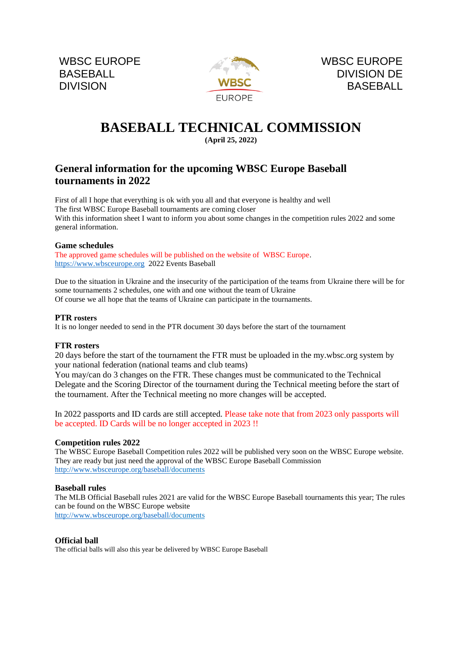WBSC EUROPE BASEBALL **DIVISION** 



# **BASEBALL TECHNICAL COMMISSION**

# **(April 25, 2022)**

# **General information for the upcoming WBSC Europe Baseball tournaments in 2022**

First of all I hope that everything is ok with you all and that everyone is healthy and well The first WBSC Europe Baseball tournaments are coming closer With this information sheet I want to inform you about some changes in the competition rules 2022 and some general information.

#### **Game schedules**

The approved game schedules will be published on the website of WBSC Europe. [https://www.wbsceurope.org](https://www.wbsceurope.org/) 2022 Events Baseball

Due to the situation in Ukraine and the insecurity of the participation of the teams from Ukraine there will be for some tournaments 2 schedules, one with and one without the team of Ukraine Of course we all hope that the teams of Ukraine can participate in the tournaments.

## **PTR rosters**

It is no longer needed to send in the PTR document 30 days before the start of the tournament

#### **FTR rosters**

20 days before the start of the tournament the FTR must be uploaded in the my.wbsc.org system by your national federation (national teams and club teams)

You may/can do 3 changes on the FTR. These changes must be communicated to the Technical Delegate and the Scoring Director of the tournament during the Technical meeting before the start of the tournament. After the Technical meeting no more changes will be accepted.

In 2022 passports and ID cards are still accepted. Please take note that from 2023 only passports will be accepted. ID Cards will be no longer accepted in 2023 !!

#### **Competition rules 2022**

The WBSC Europe Baseball Competition rules 2022 will be published very soon on the WBSC Europe website. They are ready but just need the approval of the WBSC Europe Baseball Commission [http://www.wbsceurope.org/baseball/](http://www.wbsceurope.org/baseball)documents

#### **Baseball rules**

The MLB Official Baseball rules 2021 are valid for the WBSC Europe Baseball tournaments this year; The rules can be found on the WBSC Europe website [http://www.wbsceurope.org/baseball/](http://www.wbsceurope.org/baseball)documents

#### **Official ball**

The official balls will also this year be delivered by WBSC Europe Baseball